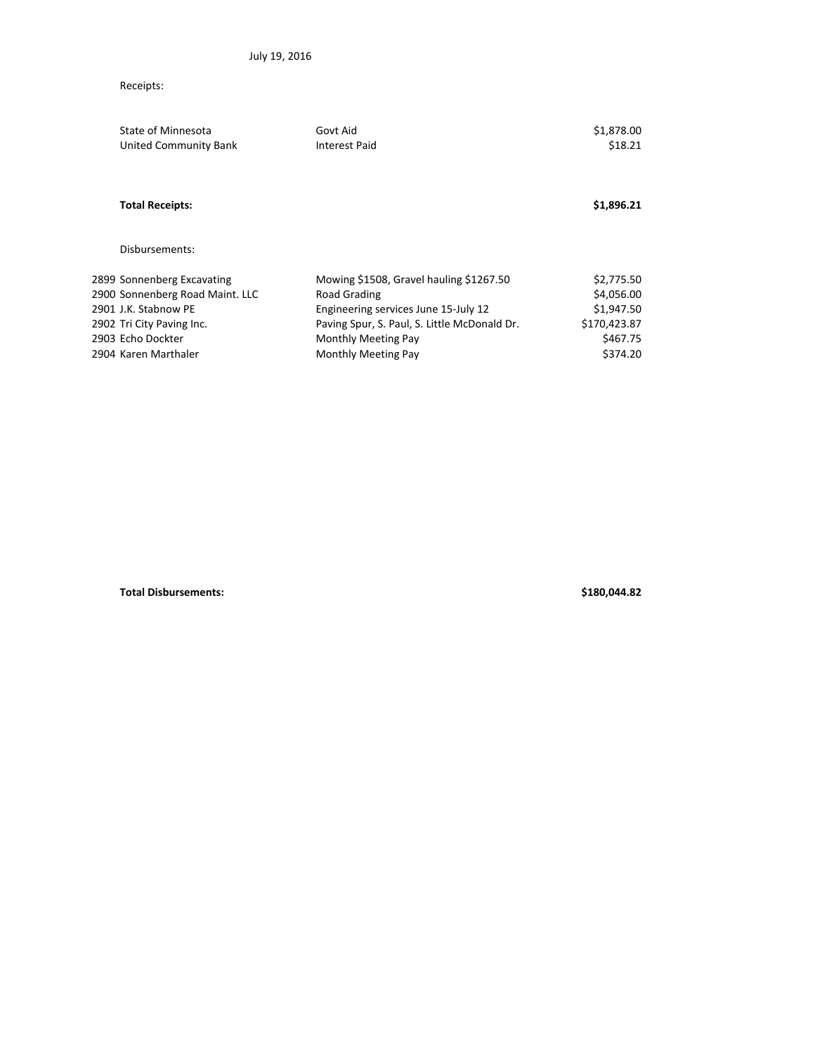## Receipts:

| State of Minnesota              | Govt Aid                                     | \$1,878.00   |
|---------------------------------|----------------------------------------------|--------------|
| United Community Bank           | Interest Paid                                | \$18.21      |
| <b>Total Receipts:</b>          |                                              | \$1,896.21   |
| Disbursements:                  |                                              |              |
| 2899 Sonnenberg Excavating      | Mowing \$1508, Gravel hauling \$1267.50      | \$2,775.50   |
| 2900 Sonnenberg Road Maint. LLC | Road Grading                                 | \$4,056.00   |
| 2901 J.K. Stabnow PE            | Engineering services June 15-July 12         | \$1,947.50   |
| 2902 Tri City Paving Inc.       | Paving Spur, S. Paul, S. Little McDonald Dr. | \$170,423.87 |
| 2903 Echo Dockter               | Monthly Meeting Pay                          | \$467.75     |
| 2904 Karen Marthaler            | Monthly Meeting Pay                          | \$374.20     |

**Total Disbursements: \$180,044.82**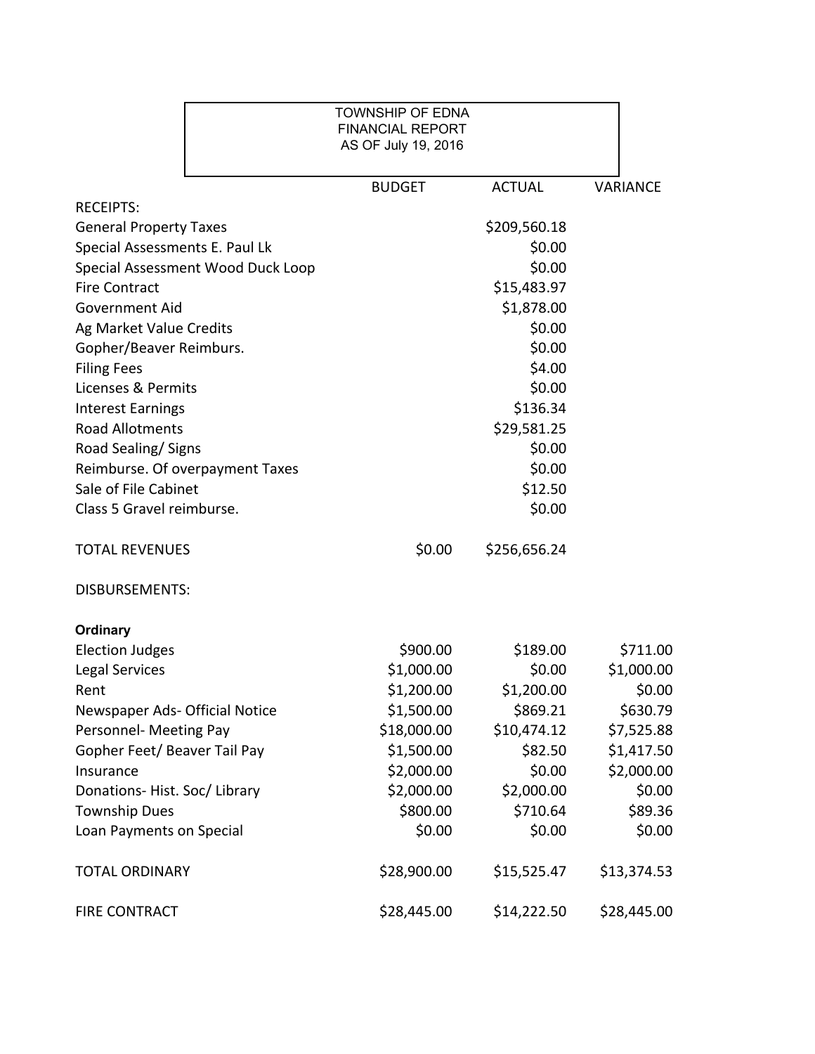|                                   | <b>TOWNSHIP OF EDNA</b><br><b>FINANCIAL REPORT</b><br>AS OF July 19, 2016 |               |             |
|-----------------------------------|---------------------------------------------------------------------------|---------------|-------------|
|                                   | <b>BUDGET</b>                                                             | <b>ACTUAL</b> | VARIANCE    |
| <b>RECEIPTS:</b>                  |                                                                           |               |             |
| <b>General Property Taxes</b>     |                                                                           | \$209,560.18  |             |
| Special Assessments E. Paul Lk    |                                                                           | \$0.00        |             |
| Special Assessment Wood Duck Loop |                                                                           | \$0.00        |             |
| <b>Fire Contract</b>              |                                                                           | \$15,483.97   |             |
| <b>Government Aid</b>             |                                                                           | \$1,878.00    |             |
| Ag Market Value Credits           |                                                                           | \$0.00        |             |
| Gopher/Beaver Reimburs.           |                                                                           | \$0.00        |             |
| <b>Filing Fees</b>                |                                                                           | \$4.00        |             |
| Licenses & Permits                |                                                                           | \$0.00        |             |
| <b>Interest Earnings</b>          |                                                                           | \$136.34      |             |
| <b>Road Allotments</b>            |                                                                           | \$29,581.25   |             |
| Road Sealing/Signs                |                                                                           | \$0.00        |             |
| Reimburse. Of overpayment Taxes   |                                                                           | \$0.00        |             |
| Sale of File Cabinet              |                                                                           | \$12.50       |             |
| Class 5 Gravel reimburse.         |                                                                           | \$0.00        |             |
| <b>TOTAL REVENUES</b>             | \$0.00                                                                    | \$256,656.24  |             |
| <b>DISBURSEMENTS:</b>             |                                                                           |               |             |
| <b>Ordinary</b>                   |                                                                           |               |             |
| <b>Election Judges</b>            | \$900.00                                                                  | \$189.00      | \$711.00    |
| <b>Legal Services</b>             | \$1,000.00                                                                | \$0.00        | \$1,000.00  |
| Rent                              | \$1,200.00                                                                | \$1,200.00    | \$0.00      |
| Newspaper Ads- Official Notice    | \$1,500.00                                                                | \$869.21      | \$630.79    |
| Personnel- Meeting Pay            | \$18,000.00                                                               | \$10,474.12   | \$7,525.88  |
| Gopher Feet/ Beaver Tail Pay      | \$1,500.00                                                                | \$82.50       | \$1,417.50  |
| Insurance                         | \$2,000.00                                                                | \$0.00        | \$2,000.00  |
| Donations-Hist. Soc/Library       | \$2,000.00                                                                | \$2,000.00    | \$0.00      |
| <b>Township Dues</b>              | \$800.00                                                                  | \$710.64      | \$89.36     |
| Loan Payments on Special          | \$0.00                                                                    | \$0.00        | \$0.00      |
| <b>TOTAL ORDINARY</b>             | \$28,900.00                                                               | \$15,525.47   | \$13,374.53 |
| <b>FIRE CONTRACT</b>              | \$28,445.00                                                               | \$14,222.50   | \$28,445.00 |